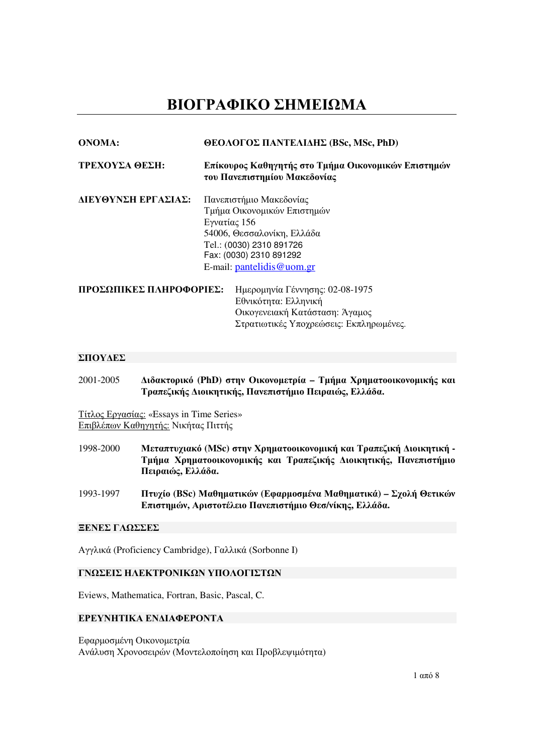# ΒΙΟΓΡΑΦΙΚΟ ΣΗΜΕΙΩΜΑ

| <b>ONOMA:</b>           | <b>ΘΕΟΛΟΓΟΣ ΠΑΝΤΕΛΙΔΗΣ (BSc, MSc, PhD)</b><br>Επίκουρος Καθηγητής στο Τμήμα Οικονομικών Επιστημών<br>του Πανεπιστημίου Μακεδονίας |  |
|-------------------------|-----------------------------------------------------------------------------------------------------------------------------------|--|
| ΤΡΕΧΟΥΣΑ ΘΕΣΗ:          |                                                                                                                                   |  |
| ΔΙΕΥΘΥΝΣΗ ΕΡΓΑΣΙΑΣ:     | Πανεπιστήμιο Μακεδονίας                                                                                                           |  |
|                         | Τμήμα Οικονομικών Επιστημών                                                                                                       |  |
|                         | Εγνατίας 156                                                                                                                      |  |
|                         | 54006, Θεσσαλονίκη, Ελλάδα                                                                                                        |  |
|                         | Tel.: (0030) 2310 891726                                                                                                          |  |
|                         | Fax: (0030) 2310 891292                                                                                                           |  |
|                         | E-mail: $partelidis@$ uom.gr                                                                                                      |  |
| ΠΡΟΣΩΠΙΚΕΣ ΠΛΗΡΟΦΟΡΙΕΣ: | Ημερομηνία Γέννησης: 02-08-1975                                                                                                   |  |
|                         | Εθνικότητα: Ελληνική                                                                                                              |  |
|                         | Οικογενειακή Κατάσταση: Άγαμος                                                                                                    |  |
|                         | Στρατιωτικές Υποχρεώσεις: Εκπληρωμένες.                                                                                           |  |

## ΣΠΟΥ∆ΕΣ

2001-2005 ∆ιδακτορικό **(PhD)** στην Οικονοµετρία **–** Τµήµα Χρηµατοοικονοµικής και Τραπεζικής ∆ιοικητικής**,** Πανεπιστήµιο Πειραιώς**,** Ελλάδα**.** 

Τίτλος Εργασίας: «Essays in Time Series» Επιβλέπων Καθηγητής: Νικήτας Πιττής

- 1998-2000 Μεταπτυχιακό **(MSc)** στην Χρηµατοοικονοµική και Τραπεζική ∆ιοικητική Τµήµα Χρηµατοοικονοµικής και Τραπεζικής ∆ιοικητικής**,** Πανεπιστήµιο Πειραιώς**,** Ελλάδα**.**
- 1993-1997 Πτυχίο **(BSc)** Μαθηµατικών **(**Εφαρµοσµένα Μαθηµατικά**)** Σχολή Θετικών Επιστηµών**,** Αριστοτέλειο Πανεπιστήµιο Θεσ**/**νίκης**,** Ελλάδα**.**

#### ΞΕΝΕΣ ΓΛΩΣΣΕΣ

Αγγλικά (Proficiency Cambridge), Γαλλικά (Sorbonne I)

## ΓΝΩΣΕΙΣ ΗΛΕΚΤΡΟΝΙΚΩΝ ΥΠΟΛΟΓΙΣΤΩΝ

Eviews, Mathematica, Fortran, Basic, Pascal, C.

### ΕΡΕΥΝΗΤΙΚΑ ΕΝ∆ΙΑΦΕΡΟΝΤΑ

Εφαρµοσµένη Οικονοµετρία Ανάλυση Χρονοσειρών (Μοντελοποίηση και Προβλεψιµότητα)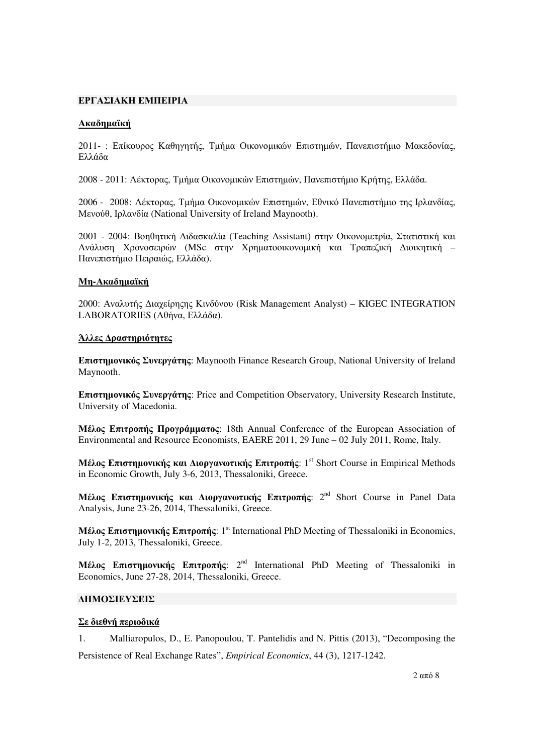## ΕΡΓΑΣΙΑΚΗ ΕΜΠΕΙΡΙΑ

## Ακαδηµαϊκή

2011- : Επίκουρος Καθηγητής, Τµήµα Οικονοµικών Επιστηµών, Πανεπιστήµιο Μακεδονίας, Ελλάδα

2008 - 2011: Λέκτορας, Τµήµα Οικονοµικών Επιστηµών, Πανεπιστήµιο Κρήτης, Ελλάδα.

2006 - 2008: Λέκτορας, Τµήµα Οικονοµικών Επιστηµών, Εθνικό Πανεπιστήµιο της Ιρλανδίας, Μενούθ, Ιρλανδία (National University of Ireland Maynooth).

2001 - 2004: Βοηθητική ∆ιδασκαλία (Teaching Assistant) στην Οικονοµετρία, Στατιστική και Ανάλυση Χρονοσειρών (MSc στην Χρηµατοοικονοµική και Τραπεζική ∆ιοικητική – Πανεπιστήµιο Πειραιώς, Ελλάδα).

## Μη**-**Ακαδηµαϊκή

2000: Αναλυτής ∆ιαχείρηςης Κινδύνου (Risk Management Analyst) – KIGEC INTEGRATION LABORATORIES (Αθήνα, Ελλάδα).

#### Άλλες ∆ραστηριότητες

Επιστηµονικός Συνεργάτης: Maynooth Finance Research Group, National University of Ireland Maynooth.

Επιστηµονικός Συνεργάτης: Price and Competition Observatory, University Research Institute, University of Macedonia.

Μέλος Επιτροπής Προγράµµατος: 18th Annual Conference of the European Association of Environmental and Resource Economists, EAERE 2011, 29 June – 02 July 2011, Rome, Italy.

Μέλος Επιστημονικής και Διοργανωτικής Επιτροπής: 1<sup>st</sup> Short Course in Empirical Methods in Economic Growth, July 3-6, 2013, Thessaloniki, Greece.

Μέλος Επιστημονικής και Διοργανωτικής Επιτροπής: 2<sup>nd</sup> Short Course in Panel Data Analysis, June 23-26, 2014, Thessaloniki, Greece.

Mέλος Επιστημονικής Επιτροπής: 1<sup>st</sup> International PhD Meeting of Thessaloniki in Economics, July 1-2, 2013, Thessaloniki, Greece.

Mέλος Επιστημονικής Επιτροπής: 2<sup>nd</sup> International PhD Meeting of Thessaloniki in Economics, June 27-28, 2014, Thessaloniki, Greece.

## ∆ΗΜΟΣΙΕΥΣΕΙΣ

#### Σε διεθνή περιοδικά

1. Malliaropulos, D., E. Panopoulou, T. Pantelidis and N. Pittis (2013), "Decomposing the Persistence of Real Exchange Rates", *Empirical Economics*, 44 (3), 1217-1242.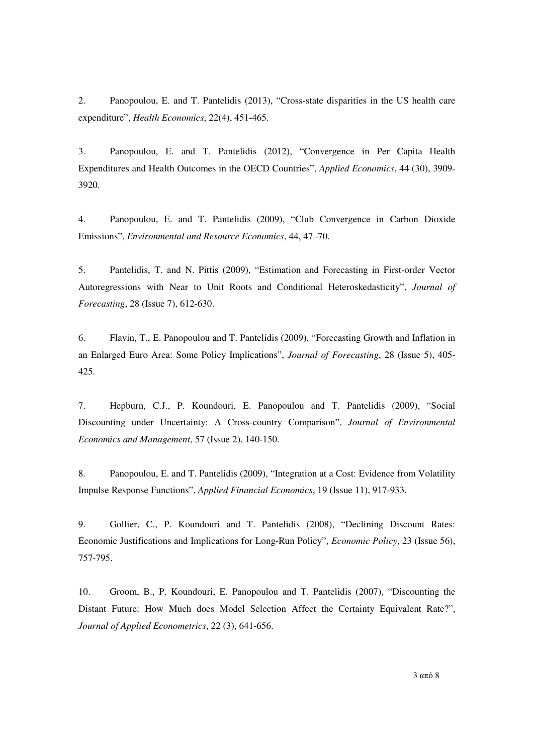2. Panopoulou, E. and T. Pantelidis (2013), "Cross-state disparities in the US health care expenditure", *Health Economics*, 22(4), 451-465.

3. Panopoulou, E. and T. Pantelidis (2012), "Convergence in Per Capita Health Expenditures and Health Outcomes in the OECD Countries", *Applied Economics*, 44 (30), 3909- 3920.

4. Panopoulou, E. and T. Pantelidis (2009), "Club Convergence in Carbon Dioxide Emissions", *Environmental and Resource Economics*, 44, 47–70.

5. Pantelidis, T. and N. Pittis (2009), "Estimation and Forecasting in First-order Vector Autoregressions with Near to Unit Roots and Conditional Heteroskedasticity", *Journal of Forecasting*, 28 (Issue 7), 612-630.

6. Flavin, T., E. Panopoulou and T. Pantelidis (2009), "Forecasting Growth and Inflation in an Enlarged Euro Area: Some Policy Implications", *Journal of Forecasting*, 28 (Issue 5), 405- 425.

7. Hepburn, C.J., P. Koundouri, E. Panopoulou and T. Pantelidis (2009), "Social Discounting under Uncertainty: A Cross-country Comparison", *Journal of Environmental Economics and Management*, 57 (Issue 2), 140-150.

8. Panopoulou, E. and T. Pantelidis (2009), "Integration at a Cost: Evidence from Volatility Impulse Response Functions", *Applied Financial Economics*, 19 (Issue 11), 917-933.

9. Gollier, C., P. Koundouri and T. Pantelidis (2008), "Declining Discount Rates: Economic Justifications and Implications for Long-Run Policy", *Economic Policy*, 23 (Issue 56), 757-795.

10. Groom, B., P. Koundouri, E. Panopoulou and T. Pantelidis (2007), "Discounting the Distant Future: How Much does Model Selection Affect the Certainty Equivalent Rate?", *Journal of Applied Econometrics*, 22 (3), 641-656.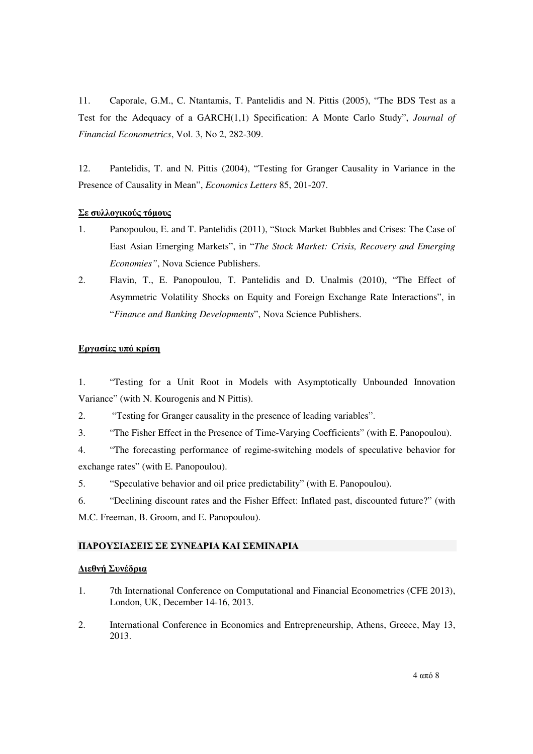11. Caporale, G.M., C. Ntantamis, T. Pantelidis and N. Pittis (2005), "The BDS Test as a Test for the Adequacy of a GARCH(1,1) Specification: A Monte Carlo Study", *Journal of Financial Econometrics*, Vol. 3, No 2, 282-309.

12. Pantelidis, T. and N. Pittis (2004), "Testing for Granger Causality in Variance in the Presence of Causality in Mean", *Economics Letters* 85, 201-207.

# Σε συλλογικούς τόµους

- 1. Panopoulou, E. and T. Pantelidis (2011), "Stock Market Bubbles and Crises: The Case of East Asian Emerging Markets", in "*The Stock Market: Crisis, Recovery and Emerging Economies"*, Nova Science Publishers.
- 2. Flavin, T., E. Panopoulou, T. Pantelidis and D. Unalmis (2010), "The Effect of Asymmetric Volatility Shocks on Equity and Foreign Exchange Rate Interactions", in "*Finance and Banking Developments*", Nova Science Publishers.

# Εργασίες υπό κρίση

1. "Testing for a Unit Root in Models with Asymptotically Unbounded Innovation Variance" (with N. Kourogenis and N Pittis).

2. "Testing for Granger causality in the presence of leading variables".

3. "The Fisher Effect in the Presence of Time-Varying Coefficients" (with E. Panopoulou).

4. "The forecasting performance of regime-switching models of speculative behavior for exchange rates" (with E. Panopoulou).

5. "Speculative behavior and oil price predictability" (with E. Panopoulou).

6. "Declining discount rates and the Fisher Effect: Inflated past, discounted future?" (with M.C. Freeman, B. Groom, and E. Panopoulou).

# ΠΑΡΟΥΣΙΑΣΕΙΣ ΣΕ ΣΥΝΕ∆ΡΙΑ ΚΑΙ ΣΕΜΙΝΑΡΙΑ

# ∆ιεθνή Συνέδρια

- 1. 7th International Conference on Computational and Financial Econometrics (CFE 2013), London, UK, December 14-16, 2013.
- 2. International Conference in Economics and Entrepreneurship, Athens, Greece, May 13, 2013.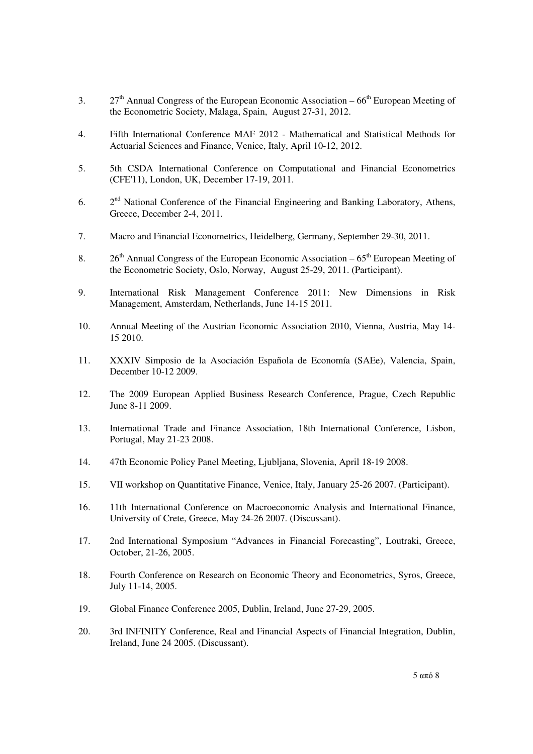- 3. 27<sup>th</sup> Annual Congress of the European Economic Association  $66<sup>th</sup>$  European Meeting of the Econometric Society, Malaga, Spain, August 27-31, 2012.
- 4. Fifth International Conference MAF 2012 Mathematical and Statistical Methods for Actuarial Sciences and Finance, Venice, Italy, April 10-12, 2012.
- 5. 5th CSDA International Conference on Computational and Financial Econometrics (CFE'11), London, UK, December 17-19, 2011.
- 6.  $2<sup>nd</sup>$  National Conference of the Financial Engineering and Banking Laboratory, Athens, Greece, December 2-4, 2011.
- 7. Macro and Financial Econometrics, Heidelberg, Germany, September 29-30, 2011.
- 8.  $26<sup>th</sup>$  Annual Congress of the European Economic Association  $65<sup>th</sup>$  European Meeting of the Econometric Society, Oslo, Norway, August 25-29, 2011. (Participant).
- 9. International Risk Management Conference 2011: New Dimensions in Risk Management, Amsterdam, Netherlands, June 14-15 2011.
- 10. Annual Meeting of the Austrian Economic Association 2010, Vienna, Austria, May 14- 15 2010.
- 11. XXXIV Simposio de la Asociación Española de Economía (SAEe), Valencia, Spain, December 10-12 2009.
- 12. The 2009 European Applied Business Research Conference, Prague, Czech Republic June 8-11 2009.
- 13. International Trade and Finance Association, 18th International Conference, Lisbon, Portugal, May 21-23 2008.
- 14. 47th Economic Policy Panel Meeting, Ljubljana, Slovenia, April 18-19 2008.
- 15. VII workshop on Quantitative Finance, Venice, Italy, January 25-26 2007. (Participant).
- 16. 11th International Conference on Macroeconomic Analysis and International Finance, University of Crete, Greece, May 24-26 2007. (Discussant).
- 17. 2nd International Symposium "Advances in Financial Forecasting", Loutraki, Greece, October, 21-26, 2005.
- 18. Fourth Conference on Research on Economic Theory and Econometrics, Syros, Greece, July 11-14, 2005.
- 19. Global Finance Conference 2005, Dublin, Ireland, June 27-29, 2005.
- 20. 3rd INFINITY Conference, Real and Financial Aspects of Financial Integration, Dublin, Ireland, June 24 2005. (Discussant).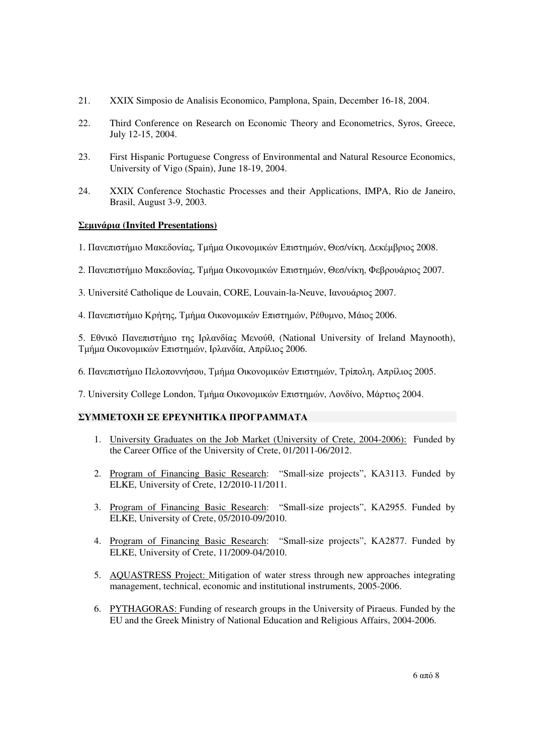- 21. XXIX Simposio de Analisis Economico, Pamplona, Spain, December 16-18, 2004.
- 22. Third Conference on Research on Economic Theory and Econometrics, Syros, Greece, July 12-15, 2004.
- 23. First Hispanic Portuguese Congress of Environmental and Natural Resource Economics, University of Vigo (Spain), June 18-19, 2004.
- 24. XXIX Conference Stochastic Processes and their Applications, IMPA, Rio de Janeiro, Brasil, August 3-9, 2003.

# Σεµινάρια **(Invited Presentations)**

- 1. Πανεπιστήµιο Μακεδονίας, Τµήµα Οικονοµικών Επιστηµών, Θεσ/νίκη, ∆εκέµβριος 2008.
- 2. Πανεπιστήµιο Μακεδονίας, Τµήµα Οικονοµικών Επιστηµών, Θεσ/νίκη, Φεβρουάριος 2007.
- 3. Université Catholique de Louvain, CORE, Louvain-la-Neuve, Ιανουάριος 2007.
- 4. Πανεπιστήµιο Κρήτης, Τµήµα Οικονοµικών Επιστηµών, Ρέθυµνο, Μάιος 2006.

5. Εθνικό Πανεπιστήµιο της Ιρλανδίας Μενούθ, (National University of Ireland Maynooth), Τµήµα Οικονοµικών Επιστηµών, Ιρλανδία, Απρίλιος 2006.

- 6. Πανεπιστήµιο Πελοποννήσου, Τµήµα Οικονοµικών Επιστηµών, Τρίπολη, Απρίλιος 2005.
- 7. University College London, Τµήµα Οικονοµικών Επιστηµών, Λονδίνο, Μάρτιος 2004.

# ΣΥΜΜΕΤΟΧΗ ΣΕ ΕΡΕΥΝΗΤΙΚΑ ΠΡΟΓΡΑΜΜΑΤΑ

- 1. University Graduates on the Job Market (University of Crete, 2004-2006): Funded by the Career Office of the University of Crete, 01/2011-06/2012.
- 2. Program of Financing Basic Research: "Small-size projects", ΚΑ3113. Funded by ELKE, University of Crete, 12/2010-11/2011.
- 3. Program of Financing Basic Research: "Small-size projects", KA2955. Funded by ELKE, University of Crete, 05/2010-09/2010.
- 4. Program of Financing Basic Research: "Small-size projects", ΚΑ2877. Funded by ELKE, University of Crete, 11/2009-04/2010.
- 5. AQUASTRESS Project: Mitigation of water stress through new approaches integrating management, technical, economic and institutional instruments, 2005-2006.
- 6. PYTHAGORAS: Funding of research groups in the University of Piraeus. Funded by the EU and the Greek Ministry of National Education and Religious Affairs, 2004-2006.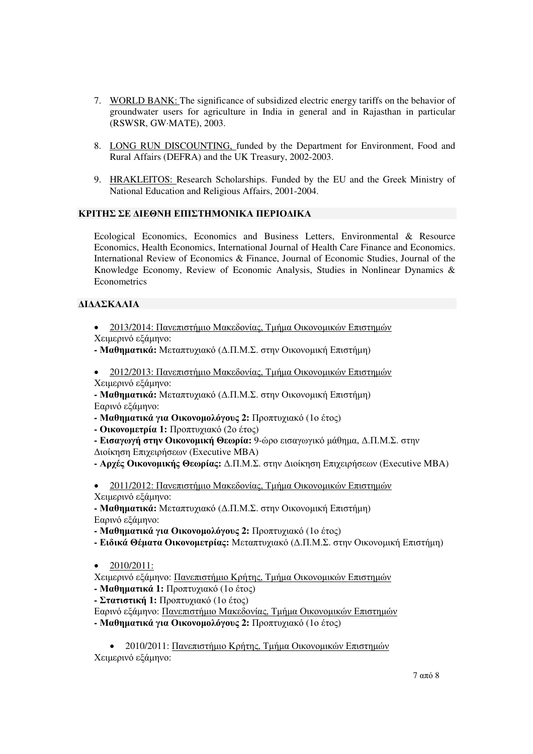- 7. WORLD BANK: The significance of subsidized electric energy tariffs on the behavior of groundwater users for agriculture in India in general and in Rajasthan in particular (RSWSR, GW·MATE), 2003.
- 8. LONG RUN DISCOUNTING, funded by the Department for Environment, Food and Rural Affairs (DEFRA) and the UK Treasury, 2002-2003.
- 9. HRAKLEITOS: Research Scholarships. Funded by the EU and the Greek Ministry of National Education and Religious Affairs, 2001-2004.

## ΚΡΙΤΗΣ ΣΕ ∆ΙΕΘΝΗ ΕΠΙΣΤΗΜΟΝΙΚΑ ΠΕΡΙΟ∆ΙΚΑ

Ecological Economics, Economics and Business Letters, Environmental & Resource Economics, Health Economics, International Journal of Health Care Finance and Economics. International Review of Economics & Finance, Journal of Economic Studies, Journal of the Knowledge Economy, Review of Economic Analysis, Studies in Nonlinear Dynamics & **Econometrics** 

## ∆Ι∆ΑΣΚΑΛΙΑ

- 2013/2014: Πανεπιστήµιο Μακεδονίας, Τµήµα Οικονοµικών Επιστηµών Χειµερινό εξάµηνο:
- Μαθηµατικά**:** Μεταπτυχιακό (∆.Π.Μ.Σ. στην Οικονοµική Επιστήµη)
- 2012/2013: Πανεπιστήµιο Μακεδονίας, Τµήµα Οικονοµικών Επιστηµών Χειµερινό εξάµηνο:

**-** Μαθηµατικά**:** Μεταπτυχιακό (∆.Π.Μ.Σ. στην Οικονοµική Επιστήµη) Εαρινό εξάµηνο:

**-** Μαθηµατικά για Οικονοµολόγους **2:** Προπτυχιακό (1ο έτος)

**-** Οικονοµετρία **1:** Προπτυχιακό (2ο έτος)

**-** Εισαγωγή στην Οικονοµική Θεωρία**:** 9-ώρο εισαγωγικό µάθηµα, ∆.Π.Μ.Σ. στην ∆ιοίκηση Επιχειρήσεων (Executive MBA)

**-** Αρχές Οικονοµικής Θεωρίας**:** ∆.Π.Μ.Σ. στην ∆ιοίκηση Επιχειρήσεων (Executive MBA)

• 2011/2012: Πανεπιστήµιο Μακεδονίας, Τµήµα Οικονοµικών Επιστηµών Χειµερινό εξάµηνο:

**-** Μαθηµατικά**:** Μεταπτυχιακό (∆.Π.Μ.Σ. στην Οικονοµική Επιστήµη) Εαρινό εξάµηνο:

- Μαθηµατικά για Οικονοµολόγους **2:** Προπτυχιακό (1ο έτος)
- Ειδικά Θέµατα Οικονοµετρίας**:** Μεταπτυχιακό (∆.Π.Μ.Σ. στην Οικονοµική Επιστήµη)
- $2010/2011$ :

Χειµερινό εξάµηνο: Πανεπιστήµιο Κρήτης, Τµήµα Οικονοµικών Επιστηµών

**-** Μαθηµατικά **1:** Προπτυχιακό (1ο έτος)

**-** Στατιστική **1:** Προπτυχιακό (1ο έτος)

Εαρινό εξάµηνο: Πανεπιστήµιο Μακεδονίας, Τµήµα Οικονοµικών Επιστηµών

**-** Μαθηµατικά για Οικονοµολόγους **2:** Προπτυχιακό (1ο έτος)

• 2010/2011: Πανεπιστήμιο Κρήτης, Τμήμα Οικονομικών Επιστημών Χειµερινό εξάµηνο: